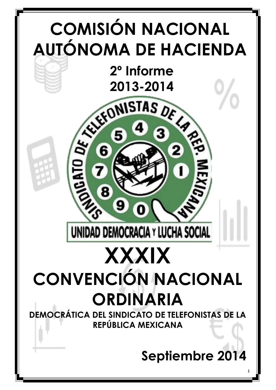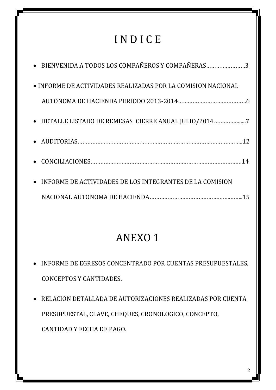# I N D I C E

| • BIENVENIDA A TODOS LOS COMPAÑEROS Y COMPAÑERAS3            |  |
|--------------------------------------------------------------|--|
| • INFORME DE ACTIVIDADES REALIZADAS POR LA COMISION NACIONAL |  |
|                                                              |  |
| • DETALLE LISTADO DE REMESAS CIERRE ANUAL JULIO/20147        |  |
|                                                              |  |
|                                                              |  |
| • INFORME DE ACTIVIDADES DE LOS INTEGRANTES DE LA COMISION   |  |
|                                                              |  |

# ANEXO 1

- INFORME DE EGRESOS CONCENTRADO POR CUENTAS PRESUPUESTALES, CONCEPTOS Y CANTIDADES.
- RELACION DETALLADA DE AUTORIZACIONES REALIZADAS POR CUENTA PRESUPUESTAL, CLAVE, CHEQUES, CRONOLOGICO, CONCEPTO, CANTIDAD Y FECHA DE PAGO.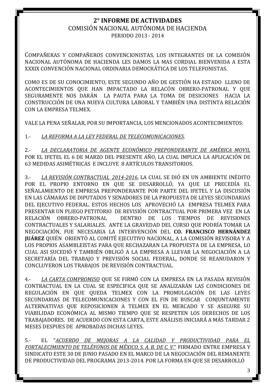## COMISIÓN NACIONAL AUTÓNOMA DE HACIENDA PERIODO 2013 - 2014

OMPAÑERAS Y COMPAÑEROS CONVENCIONISTAS, LOS INTEGRANTES DE LA COMISIÓN CNACIONAL AUTÓNOMA DE HACIENDA LES DAMOS LA MAS CORDIAL BIENVENIDA A ESTA XXXIX CONVENCIÓN NACIONAL ORDINARIA DEMOCRÁTICA DE LOS TELEFONISTAS.

COMO ES DE SU CONOCIMIENTO, ESTE SEGUNDO AÑO DE GESTIÓN HA ESTADO LLENO DE ACONTECIMIENTOS QUE HAN IMPACTADO LA RELACÓN OBRERO-PATRONAL Y QUE SEGURAMENTE NOS DARÁN LA PAUTA PARA LA TOMA DE DESICIONES HACIA LA CONSTRUCCIÓN DE UNA NUEVA CULTURA LABORAL Y TAMBIÉN UNA DISTINTA RELACIÓN CON LA EMPRESA TELMEX.

VALE LA PENA SEÑALAR, POR SU IMPORTANCIA, LOS MENCIONADOS ACONTECIMIENTOS:

1.- *LA REFORMA A LA LEY FEDERAL DE TELECOMUNICACIONES*.

2.- *LA DECLARATORIA DE AGENTE ECONÓMICO PREPONDERANTE DE AMÉRICA MOVIL* POR EL IFETEL EL 6 DE MARZO DEL PRESENTE AÑO, LA CUAL IMPLICA LA APLICACIÓN DE 63 MEDIDAS ASIMÉTRICAS E INCLUYE 8 ARTÍCULOS TRANSITORIOS.

3.- *LA REVISIÓN CONTRACTUAL 2014-2016*, LA CUAL SE DIÓ EN UN AMBIENTE INÉDITO POR EL PROPIO ENTORNO EN QUE SE DESARROLLÓ, YA QUE LE PRECEDÍA EL SEÑALAMIENTO DE EMPRESA PREPONDERANTE POR PARTE DEL IFETEL Y LA DISCUSIÓN EN LAS CÁMARAS DE DIPUTADOS Y SENADORES DE LA PROPUESTA DE LEYES SECUNDARIAS DEL EJECUTIVO FEDERAL. ESTOS HECHOS LOS APROVECHÓ LA EMPRESA TELMEX PARA PRESENTAR UN PLIEGO PETITORIO DE REVISIÓN CONTRACTUAL POR PRIMERA VEZ EN LA RELACIÓN OBRERO-PATRONAL DENTRO DE LOS TIEMPOS DE REVISIONES CONTRACTUALES Y SALARIALES. ANTE LA GRAVEDAD DEL CURSO QUE PODRÍA TOMAR LA NEGOCIACIÓN, FUE NECESARIA LA INTERVENCIÓN DEL **CO. FRANCISCO HERNÁNDEZ JUÁREZ** QUIÉN ORIENTÓ AL COMITÉ EJECUTIVO NACIONAL, A LA COMISIÓN REVISORA Y A LOS PROPIOS ASAMBLEISTAS PARA QUE RECHAZARAN LA PROPUESTA DE LA EMPRESA, LO CUAL ASI SUCEDIÓ Y TAMBIÉN OBLIGÓ A LA EMPRESA A LLEVAR LA NEGOCIACIÓN A LA SECRETARÍA DEL TRABAJO Y PREVISIÓN SOCIAL FEDERAL, DONDE SE REANUDARON Y CONCLUYERON LOS TRABAJOS DE REVISIÓN CONTRACTUAL.

4.- *LA CARTA COMPROMISO* QUE SE FIRMÓ CON LA EMPRESA EN LA PASADA REVISIÓN CONTRACTUAL EN LA CUAL SE ESPECIFICA QUE SE ANALIZARÁN LAS CONDICIONES DE REGULACIÓN EN QUE QUEDA TELMEX CON LA PROMULGACIÓN DE LAS LEYES SECUNDARIAS DE TELECOMUNICACIONES Y CON EL FIN DE BUSCAR CONJUNTAMENTE ALTERNATIVAS QUE REPOSICIONEN A TELMEX EN EL MERCADO Y SE ASEGURE SU VIABILIDAD ECONÓMICA AL MISMO TIEMPO QUE SE RESPETEN LOS DERECHOS DE LOS TRABAJADORES. DE ACUERDO CON ESTA CARTA, ESTE ANÁLISIS INICIARÁ A MÁS TARDAR 2 MESES DESPUES DE APROBADAS DICHAS LEYES.

5.- EL "*ACUERDO DE MEJORAS A LA CALIDAD Y PRODUCTIVIDAD PARA EL FORTALECIMIENTO DE TELÉFONOS DE MÉXICO, S. A. B. DE C. V*." FIRMADO ENTRE EMPRESA Y SINDICATO ESTE 30 DE JUNIO PASADO EN EL MARCO DE LA NEGOCIACIÓN DEL REMANENTE DE PRODUCTIVIDAD DEL PROGRAMA 2013-2014. POR LA FORMA EN QUE SE DESARROLLÓ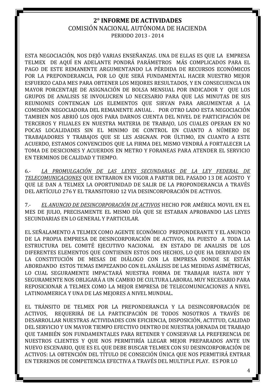ESTA NEGOCIACIÓN, NOS DEJÓ VARIAS ENSEÑANZAS. UNA DE ELLAS ES QUE LA EMPRESA TELMEX DE AQUÍ EN ADELANTE PONDRÁ PARÁMETROS MÁS COMPLICADOS PARA EL PAGO DE ESTE REMANENTE ARGUMENTANDO LA PÉRDIDA DE RECURSOS ECONÓMICOS POR LA PREPONDERANCIA, POR LO QUE SERÁ FUNDAMENTAL HACER NUESTRO MEJOR ESFUERZO CADA MES PARA OBTENER LOS MEJORES RESULTADOS, Y EN CONSECUENCIA UN MAYOR PORCENTAJE DE ASIGNACIÓN DE BOLSA MENSUAL POR INDICADOR Y QUE LOS GRUPOS DE ANALISIS SE INVOLUCREN LO NECESARIO PARA QUE LAS MINUTAS DE SUS REUNIONES CONTENGAN LOS ELEMENTOS QUE SIRVAN PARA ARGUMENTAR A LA COMISIÓN NEGOCIADORA DEL REMANENTE ANUAL . POR OTRO LADO ESTA NEGOCIACIÓN TAMBIEN NOS ABRIÓ LOS OJOS PARA DARNOS CUENTA DEL NIVEL DE PARTICIPACIÓN DE TERCEROS Y FILIALES EN NUESTRA MATERIA DE TRABAJO, LOS CUALES OPERAN EN NO POCAS LOCALIDADES SIN EL MINIMO DE CONTROL EN CUANTO A NÚMERO DE TRABAJADORES Y TRABAJOS QUE SE LES ASIGNAN. POR ÚLTIMO, EN CUANTO A ESTE ACUERDO, ESTAMOS CONVENCIDOS QUE LA FIRMA DEL MISMO VENDRÁ A FORTALECER LA TOMA DE DESICIONES Y ACUERDOS EN METRO Y FORANEAS PARA ATENDER EL SERVICIO EN TERMINOS DE CALIDAD Y TIEMPO.

6.- *LA PROMULGACIÓN DE LAS LEYES SECUNDARIAS DE LA LEY FEDERAL DE TELECOMUNICACIONES* QUE ENTRARON EN VIGOR A PARTIR DEL PASADO 13 DE AGOSTO Y QUE LE DAN A TELMEX LA OPORTUNIDAD DE SALIR DE LA PROPONDERANCIA A TRAVÉS DEL ARTÍCULO 276 Y EL TRANSITORIO 12 VIA DESINCORPORACIÓN DE ACTIVOS.

7.- *EL ANUNCIO DE DESINCORPORACIÓN DE ACTIVOS* HECHO POR AMÉRICA MOVIL EN EL MES DE JULIO, PRECISAMENTE EL MISMO DÍA QUE SE ESTABAN APROBANDO LAS LEYES SECUNDARIAS EN LO GENERAL Y PARTICULAR.

EL SEÑALAMENTO A TELMEX COMO AGENTE ECONÓMICO PREPONDERANTE Y EL ANUNCIO DE LA PROPIA EMPRESA DE DESINCORPORACIÓN DE ACTIVOS, HA PUESTO A TODA LA ESTRUCTURA DEL COMITÉ EJECUTIVO NACIONAL EN ESTADO DE ANALISIS DE LOS DIFERENTES ELEMENTOS QUE CONTIENEN ESTOS DOS HECHOS, LO QUE HA DERIVADO EN LA CONSTITUCIÓN DE MESAS DE DIÁLOGO CON LA EMPRESA DONDE SE ESTÁN ABORDANDO ESTOS TEMAS EMPEZANDO CON EL ANÁLISIS DE LAS MEDIDAS ASIMÉTRICAS, LO CUAL SEGURAMENTE IMPACTARÁ NUESTRA FORMA DE TRABAJAR HASTA HOY Y SEGURAMENTE NOS OBLIGARÁ A UN CAMBIO DE CULTURA LABORAL MUY NECESARIO PARA REPOSICIONAR A TELMEX COMO LA MEJOR EMPRESA DE TELECOMUNICACIONES A NIVEL LATINOAMERICA Y UNA DE LAS MEJORES A NIVEL MUNDIAL.

EL TRÁNSITO DE TELMEX POR LA PREPONDERANCIA Y LA DESINCORPORACIÓN DE ACTIVOS, REQUERIRÁ DE LA PARTICIPACIÓN DE TODOS NOSOTROS A TRAVÉS DE DESARROLLAR NUESTRAS ACTIVIDADES CON EFICIENCIA, DISPOSICIÓN, ACTITUD, CALIDAD DEL SERVICIO Y UN MAYOR TIEMPO EFECTIVO DENTRO DE NUESTRA JORNADA DE TRABAJO QUE TAMBIÉN SON FUNDAMENTALES PARA RETENER Y CONSERVAR LA PREFERENCIA DE NUESTROS CLIENTES Y QUE NOS PERMITIRÍA LLEGAR MEJOR PREPARADOS ANTE UN NUEVO ESCENARIO, QUE ES EL QUE DEBE BUSCAR TELMEX CON SU DESINCORPORACIÓN DE ACTIVOS: LA OBTENCIÓN DEL TÍTULO DE CONSECIÓN ÚNICA QUE NOS PERMITIRÁ ENTRAR EN TERRENOS DE COMPETENCIA EFECTIVA A TRAVÉS DEL MULTIPLE PLAY. ES POR LO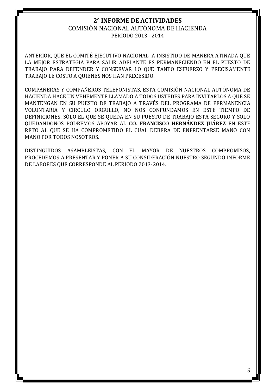ANTERIOR, QUE EL COMITÉ EJECUTIVO NACIONAL A INSISTIDO DE MANERA ATINADA QUE LA MEJOR ESTRATEGIA PARA SALIR ADELANTE ES PERMANECIENDO EN EL PUESTO DE TRABAJO PARA DEFENDER Y CONSERVAR LO QUE TANTO ESFUERZO Y PRECISAMENTE TRABAJO LE COSTO A QUIENES NOS HAN PRECESIDO.

COMPAÑERAS Y COMPAÑEROS TELEFONISTAS, ESTA COMISIÓN NACIONAL AUTÓNOMA DE HACIENDA HACE UN VEHEMENTE LLAMADO A TODOS USTEDES PARA INVITARLOS A QUE SE MANTENGAN EN SU PUESTO DE TRABAJO A TRAVÉS DEL PROGRAMA DE PERMANENCIA VOLUNTARIA Y CIRCULO ORGULLO, NO NOS CONFUNDAMOS EN ESTE TIEMPO DE DEFINICIONES, SÓLO EL QUE SE QUEDA EN SU PUESTO DE TRABAJO ESTA SEGURO Y SOLO QUEDANDONOS PODREMOS APOYAR AL **CO. FRANCISCO HERNÁNDEZ JUÁREZ** EN ESTE RETO AL QUE SE HA COMPROMETIDO EL CUAL DEBERA DE ENFRENTARSE MANO CON MANO POR TODOS NOSOTROS.

DISTINGUIDOS ASAMBLEISTAS, CON EL MAYOR DE NUESTROS COMPROMISOS, PROCEDEMOS A PRESENTAR Y PONER A SU CONSIDERACIÓN NUESTRO SEGUNDO INFORME DE LABORES QUE CORRESPONDE AL PERIODO 2013-2014.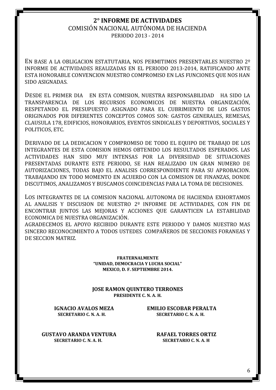## **2° INFORME DE ACTIVIDADES** COMISIÓN NACIONAL AUTÓNOMA DE HACIENDA

PERIODO 2013 - 2014

EN BASE A LA OBLIGACION ESTATUTARIA, NOS PERMITIMOS PRESENTARLES NUESTRO 2º INFORME DE ACTIVIDADES REALIZADAS EN EL PERIODO 2013-2014, RATIFICANDO ANTE ESTA HONORABLE CONVENCION NUESTRO COMPROMISO EN LAS FUNCIONES QUE NOS HAN SIDO ASIGNADAS.

DESDE EL PRIMER DIA EN ESTA COMISION, NUESTRA RESPONSABILIDAD HA SIDO LA TRANSPARENCIA DE LOS RECURSOS ECONOMICOS DE NUESTRA ORGANIZACIÓN, RESPETANDO EL PRESUPUESTO ASIGNADO PARA EL CUBRIMIENTO DE LOS GASTOS ORIGINADOS POR DIFERENTES CONCEPTOS COMOS SON: GASTOS GENERALES, REMESAS, CLAUSULA 178, EDIFICIOS, HONORARIOS, EVENTOS SINDICALES Y DEPORTIVOS, SOCIALES Y POLITICOS, ETC.

DERIVADO DE LA DEDICACION Y COMPROMISO DE TODO EL EQUIPO DE TRABAJO DE LOS INTEGRANTES DE ESTA COMISION HEMOS OBTENIDO LOS RESULTADOS ESPERADOS. LAS ACTIVIDADES HAN SIDO MUY INTENSAS POR LA DIVERSIDAD DE SITUACIONES PRESENTADAS DURANTE ESTE PERIODO, SE HAN REALIZADO UN GRAN NUMERO DE AUTORIZACIONES, TODAS BAJO EL ANALISIS CORRESPONDIENTE PARA SU APROBACION. TRABAJANDO EN TODO MOMENTO EN ACUERDO CON LA COMISION DE FINANZAS, DONDE DISCUTIMOS, ANALIZAMOS Y BUSCAMOS COINCIDENCIAS PARA LA TOMA DE DECISIONES.

LOS INTEGRANTES DE LA COMISION NACIONAL AUTONOMA DE HACIENDA EXHORTAMOS AL ANALISIS Y DISCUSION DE NUESTRO 2º INFORME DE ACTIVIDADES, CON FIN DE ENCONTRAR JUNTOS LAS MEJORAS Y ACCIONES QUE GARANTICEN LA ESTABILIDAD ECONOMICA DE NUESTRA ORGANIZACIÓN.

AGRADECEMOS EL APOYO RECIBIDO DURANTE ESTE PERIODO Y DAMOS NUESTRO MAS SINCERO RECONOCIMIENTO A TODOS USTEDES COMPAÑEROS DE SECCIONES FORANEAS Y DE SECCION MATRIZ.

> **FRATERNALMENTE "UNIDAD, DEMOCRACIA Y LUCHA SOCIAL" MEXICO, D. F. SEPTIEMBRE 2014.**

**JOSE RAMON QUINTERO TERRONES PRESIDENTE C. N. A. H.**

**IGNACIO AVALOS MEZA EMILIO ESCOBAR PERALTA SECRETARIO C. N. A. H. SECRETARIO C. N. A. H.**

**GUSTAVO ARANDA VENTURA RAFAEL TORRES ORTIZ SECRETARIO C. N. A. H. SECRETARIO C. N. A. H**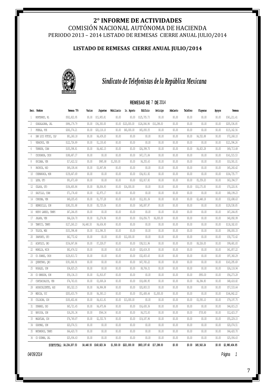## COMISIÓN NACIONAL AUTÓNOMA DE HACIENDA PERIODO 2013 – 2014 LISTADO DE REMESAS CIERRE ANUAL JULIO/2014

## **LISTADO DE REMESAS CIERRE ANUAL JULIO/2014**



## *Sindicato de Telefonistas de la República Mexicana*

#### **REMESAS DE** 7 **DE** 2014

|              | Secc. Nombre             | Remesa 70%               | Varios     | Juquetes     | Mobiliario | 1o. Agosto   | Edificio     | Anticipo    | Adelanto | Teléfono | Playeras    | Apoyos | Remesa         |
|--------------|--------------------------|--------------------------|------------|--------------|------------|--------------|--------------|-------------|----------|----------|-------------|--------|----------------|
| $\mathbf{1}$ | MONTERREY, NL            | \$502,822.95             | \$0.00     | \$15,905.81  | \$0.00     | \$0.00       | \$125,705.73 | \$0.00      | \$0.00   | \$0.00   | \$0.00      | \$0.00 | \$361,211.41   |
| 2            | GUADALAJARA, JAL         | \$496,179.79             | \$0.00     | \$36,300.00  | \$0.00     | \$120,000.00 | \$124,044.94 | \$10,298.00 | \$0.00   | \$0.00   | \$0.00      | \$0.00 | \$205,536.85   |
| $\sqrt{3}$   | PUEBLA, PUE              | \$260,374.21             | \$0.00     | \$20,118.10  | \$0.00     | \$60,000.00  | \$65,093.55  | \$0.00      | \$0.00   | \$0.00   | \$0.00      | \$0.00 | \$115,162.56   |
| 4            | SAN LUIS POTOSI, SLP     | \$81,260.18              | \$0.00     | \$4,439.20   | \$0.00     | \$0.00       | \$0.00       | \$0.00      | \$0.00   | \$0.00   | \$4,552.88  | \$0.00 | \$72,268.10    |
| 5            | VERACRUZ, VER            | \$122,726.89             | \$0.00     | \$1,130.65   | \$0.00     | \$0.00       | \$0.00       | \$0.00      | \$0.00   | \$0.00   | \$0.00      | \$0.00 | \$121,596.24   |
| 6            | TORREON, COAH            | \$105,598.81             | \$0.00     | \$4,662.15   | \$0.00     | \$0.00       | \$26,399.70  | \$0.00      | \$0.00   | \$0.00   | \$4,823.28  | \$0.00 | \$69,713.68    |
| 7            | CHIHUAHUA, CHIH          | \$188,687.37             | \$0.00     | \$0.00       | \$0.00     | \$0.00       | \$47,171.84  | \$0.00      | \$0.00   | \$0.00   | \$0.00      | \$0.00 | \$141,515.53   |
| 8            | ORIZABA, VER             | \$17,422.52              | \$0.00     | \$985.88     | \$1,500.00 | \$0.00       | \$4,355.63   | \$0.00      | \$0.00   | \$0.00   | \$0.00      | \$0.00 | \$10,581.01    |
| 9            | PACHUCA, HGO             | \$49,108.46              | \$0.00     | \$3,847.84   | \$0.00     | \$0.00       | \$0.00       | \$0.00      | \$0.00   | \$0.00   | \$0.00      | \$0.00 | \$45,260.62    |
| $10\,$       | CUERNAVACA, MOR          | \$139,647.69             | \$0.00     | \$0.00       | \$0.00     | \$0.00       | \$34,911.92  | \$0.00      | \$0.00   | \$0.00   | \$0.00      | \$0.00 | \$104,735.77   |
| 11           | LEON, GTO                | \$91,671.69              | \$0.00     | \$0.00       | \$0.00     | \$0.00       | \$22,917.92  | \$0.00      | \$0.00   | \$0.00   | \$5,359.20  | \$0.00 | \$63,394.57    |
| 12           | CELAYA, GTO              | \$104,400.84             | \$0.00     | \$8,004.93   | \$0.00     | \$16,000.00  | \$0.00       | \$0.00      | \$0.00   | \$0.00   | \$10,175.00 | \$0.00 | \$70,220.91    |
| 13           | SALTILLO, COAH           | \$71,174.40              | \$0.00     | \$2,975.17   | \$0.00     | \$0.00       | \$0.00       | \$0.00      | \$0.00   | \$0.00   | \$0.00      | \$0.00 | \$68,199.23    |
| 14           | $\texttt{CORDOBA}_r$ VER | \$49,205.45              | \$0.00     | \$1,757.28   | \$0.00     | \$0.00       | \$12,301.36  | \$0.00      | \$0.00   | \$0.00   | \$2,448.18  | \$0.00 | \$32,698.63    |
| 15           | HERMOSILIO, SON          | \$180,351.88             | \$0.00     | \$5,725.06   | \$0.00     | \$0.00       | \$45,087.97  | \$0.00      | \$0.00   | \$0.00   | \$0.00      | \$0.00 | \$129,538.85   |
| 16           | NUEVO LAREDO, TAMPS      | \$47,244.85              | \$0.00     | \$0.00       | \$0.00     | \$0.00       | \$0.00       | \$0.00      | \$0.00   | \$0.00   | \$0.00      | \$0.00 | \$47,244.85    |
| 17           | JALAPA, VER              | \$64,224.70              | \$0.00     | \$1,274.96   | \$0.00     | \$0.00       | \$16,056.75  | \$6,000.00  | \$0.00   | \$0.00   | \$0.00      | \$0.00 | \$40,892.99    |
| 18           | TAMPICO, TAMPS           | \$127,260.23             | \$4,440.50 | \$4,636.90   | \$0.00     | \$0.00       | \$0.00       | \$0.00      | \$0.00   | \$0.00   | \$0.00      | \$0.00 | \$118,182.83   |
| 19           | TOLUCA, MEX              | \$103,398.68             | \$0.00     | \$13,398.35  | \$0.00     | \$0.00       | \$0.00       | \$0.00      | \$0.00   | \$0.00   | \$0.00      | \$0.00 | \$90,000.33    |
| 20           | IRAPUATO, GTO            | \$42,772.62              | \$0.00     | \$0.00       | \$0.00     | \$12,000.00  | \$0.00       | \$0.00      | \$0.00   | \$0.00   | \$0.00      | \$0.00 | \$30,772.62    |
| 21           | ACAPULCO, GRO            | \$154,047.86             | \$0.00     | \$7,328.07   | \$0.00     | \$0.00       | \$38,511.96  | \$0.00      | \$0.00   | \$0.00   | \$8,526.00  | \$0.00 | \$99,681.83    |
| 22           | MORELIA, MICH            | \$82,476.52              | \$0.00     | \$0.00       | \$0.00     | \$0.00       | \$20,619.30  | \$0.00      | \$0.00   | \$0.00   | \$0.00      | \$0.00 | \$61,857.22    |
| 23           | CD JUAREZ, CHIH          | \$129,813.72             | \$0.00     | \$0.00       | \$0.00     | \$0.00       | \$32,453.43  | \$0.00      | \$0.00   | \$0.00   | \$0.00      | \$0.00 | \$97,360.29    |
| 24           | QUERETARO, QRO           | \$191,060.91             | \$0.00     | \$0.00       | \$0.00     | \$0.00       | \$47,765.22  | \$0.00      | \$0.00   | \$0.00   | \$0.00      | \$0.00 | \$143,295.69   |
| 25           | NOGALES, SON             | \$34,825.25              | \$0.00     | \$0.00       | \$0.00     | \$0.00       | \$8,706.31   | \$0.00      | \$0.00   | \$0.00   | \$0.00      | \$0.00 | \$26,118.94    |
| 26           | CD OBREGON, SON          | \$59,134.15              | \$0.00     | \$1,910.87   | \$0.00     | \$0.00       | \$0.00       | \$0.00      | \$0.00   | \$0.00   | \$950.00    | \$0.00 | \$56,273.28    |
| 27           | COATZACOALCOS, VER       | \$74,763.81              | \$0.00     | \$3,069.24   | \$0.00     | \$0.00       | \$18,690.95  | \$0.00      | \$0.00   | \$0.00   | \$4,384.80  | \$0.00 | \$48,618.82    |
| 28           | AGUASCALIENTES, AGS      | \$83,322.15              | \$0.00     | \$4,984.98   | \$0.00     | \$0.00       | \$20,803.53  | \$0.00      | \$0.00   | \$0.00   | \$0.00      | \$0.00 | \$57,533.64    |
| 29           | MERIDA, YUC              | \$205,633.79             | \$0.00     | \$6,383.13   | \$0.00     | \$0.00       | \$51,408.44  | \$1,000.00  | \$0.00   | \$0.00   | \$0.00      | \$0.00 | \$146,842.22   |
| 30           | CULIACAN, SIN            | \$100,402.66             | \$0.00     | \$4,611.81   | \$0.00     | \$13,000.00  | \$0.00       | \$0.00      | \$0.00   | \$0.00   | \$3,593.10  | \$0.00 | \$79,197.75    |
| 31           | DURANGO, DGO             | \$65,721.45              | \$0.00     | \$4,475.86   | \$0.00     | \$0.00       | \$16,430.36  | \$0.00      | \$0.00   | \$0.00   | \$0.00      | \$0.00 | \$44,815.23    |
| 32           | NAVOJOA, SON             | \$18,291.34              | \$0.00     | \$564.34     | \$0.00     | \$0.00       | \$4,572.83   | \$0.00      | \$0.00   | \$0.00   | \$730.80    | \$0.00 | \$12,423.37    |
| 33           | MAZATLAN, SIN            | \$76,749.87              | \$0.00     | \$2,332.76   | \$0.00     | \$0.00       | \$19,187.96  | \$0.00      | \$0.00   | \$0.00   | \$0.00      | \$0.00 | \$55,229.15    |
| 34           | GUAYMAS, SON             | \$20,074.51              | \$0.00     | \$0.00       | \$0.00     | \$0.00       | \$0.00       | \$0.00      | \$0.00   | \$0.00   | \$0.00      | \$0.00 | \$20,074.51    |
| 35           | MATAMOROS, TAMPS         | \$66,420.70              | \$0.00     | \$0.00       | \$0.00     | \$0.00       | \$0.00       | \$0.00      | \$0.00   | \$0.00   | \$0.00      | \$0.00 | \$66,420.70    |
| 36           | CD GUZMAN, JAL           | \$25,934.63              | \$0.00     | \$0.00       | \$0.00     | \$0.00       | \$0.00       | \$0.00      | \$0.00   | \$0.00   | \$0.00      | \$0.00 | \$25,934.63    |
|              |                          | SUBTOTAL: \$4,234,207.53 | \$4,440.50 | \$160,823.34 | \$1,500.00 | \$221,000.00 | \$803,197.60 | \$17,298.00 | \$0.00   | \$0.00   | \$45,543.24 | \$0.00 | \$2,980,404.85 |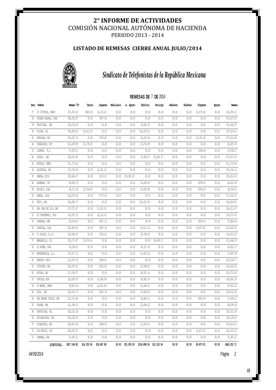### **LISTADO DE REMESAS CIERRE ANUAL JULIO/2014**



## *Sindicato de Telefonistas de la República Mexicana*

#### **REMESAS DE** 7 **DE** 2014

|    | Secc. Nombre           | Remesa 70%   | Varios      | Juquetes    | Mobiliario | lo. Agosto  | Edificio                 | Anticipo   | Adelanto | Teléfono | Playeras   | Apoyos | Remesa       |
|----|------------------------|--------------|-------------|-------------|------------|-------------|--------------------------|------------|----------|----------|------------|--------|--------------|
| 37 | CD VICTORIA, TAMPS     | \$37,967.63  | \$800.60    | \$2,103.20  | \$0.00     | \$0.00      | \$0.00                   | \$0.00     | \$0.00   | \$0.00   | \$2,070.60 | \$0.00 | \$32,993.23  |
| 38 | PIEDRAS NEGRAS, COAH   | \$28,355.87  | \$0.00      | \$807.94    | \$0.00     | \$0.00      | \$0.00                   | \$0.00     | \$0.00   | \$0.00   | \$0.00     | \$0.00 | \$27,547.93  |
| 39 | TEZIUTLAN, PUE         | \$14,729.29  | \$0.00      | \$0.00      | \$0.00     | \$0.00      | \$3,682.32               | \$0.00     | \$0.00   | \$0.00   | \$0.00     | \$0.00 | \$11,046.97  |
| 40 | COLIMA, COL            | \$56,080.03  | \$5,041.00  | \$0.00      | \$0.00     | \$0.00      | \$14,020.00              | \$0.00     | \$0.00   | \$0.00   | \$0.00     | \$0.00 | \$37,019.03  |
| 41 | TEHUACAN, PUE          | \$25,415.76  | \$0.00      | \$759.80    | \$0.00     | \$0.00      | \$6,353.94               | \$0.00     | \$0.00   | \$0.00   | \$1,291.08 | \$0.00 | \$17,010.94  |
| 42 | GUANAJUATO, GTO        | \$12,299.99  | \$3,178.00  | \$0.00      | \$0.00     | \$0.00      | \$3,074.99               | \$0.00     | \$0.00   | \$0.00   | \$0.00     | \$0.00 | \$6,047.00   |
| 43 | LINARES, N.L.          | \$7,855.51   | \$0.00      | \$0.00      | \$0.00     | \$0.00      | \$0.00                   | \$0.00     | \$0.00   | \$0.00   | \$306.94   | \$0.00 | \$7,548.57   |
| 44 | IGUALA, GRO            | \$29,935.90  | \$0.00      | \$0.00      | \$0.00     | \$0.00      | \$7,483.97               | \$5,444.75 | \$0.00   | \$0.00   | \$0.00     | \$0.00 | \$17,007.18  |
| 45 | REYNOSA, TAMPS         | \$51,715.66  | \$0.00      | \$0.00      | \$0.00     | \$0.00      | \$0.00                   | \$0.00     | \$0.00   | \$0.00   | \$0.00     | \$0.00 | \$51,715.66  |
| 46 | ZACATECAS, ZAC         | \$37,783.34  | \$0.00      | \$2,391.22  | \$0.00     | \$0.00      | \$0.00                   | \$0.00     | \$0.00   | \$0.00   | \$0.00     | \$0.00 | \$35,392.12  |
| 47 | ZAMORA, MICH           | \$30,644.27  | \$0.00      | \$230.03    | \$0.00     | \$10,000.00 | \$0.00                   | \$0.00     | \$0.00   | \$0.00   | \$0.00     | \$0.00 | \$20,414.24  |
| 48 | ACAMBARO, GTO          | \$8,962.78   | \$0.00      | \$0.00      | \$0.00     | \$0.00      | \$2,240.69               | \$0.00     | \$0.00   | \$0.00   | \$299.63   | \$0.00 | \$6,422.46   |
| 49 | APIZACO, TLAX          | \$8,371.56   | \$1,334.00  | \$0.00      | \$0.00     | \$0.00      | \$2,092.89               | \$0.00     | \$0.00   | \$0.00   | \$694.26   | \$0.00 | \$4,250.41   |
| 50 | PARRAL, CHIH           | \$18,019.28  | \$0.00      | \$773.95    | \$0.00     | \$0.00      | \$0.00                   | \$0.00     | \$0.00   | \$0.00   | \$0.00     | \$0.00 | \$17,245.33  |
| 51 | TEPIC, NAY             | \$56,895.77  | \$0.00      | \$0.00      | \$0.00     | \$0.00      | \$14,223.94              | \$8.00     | \$0.00   | \$0.00   | \$0.00     | \$0.00 | \$42,663.83  |
| 52 | SAN JUAN DEL RIO, ORO  | \$17,272.87  | \$0.00      | \$1,051.00  | \$0.00     | \$0.00      | \$0.00                   | \$0.00     | \$0.00   | \$0.00   | \$0.00     | \$0.00 | \$16,221.87  |
| 53 | CD CUAUHTEMOC, CHIH    | \$18,587.30  | \$0.00      | \$2,216.30  | \$0.00     | \$0.00      | \$0.00                   | \$0.00     | \$0.00   | \$0.00   | \$0.00     | \$0.00 | \$16,371.00  |
| 54 | ZUMPANGO, MEX          | \$9,324.60   | \$0.00      | \$831.14    | \$0.00     | \$0.00      | \$0.00                   | \$0.00     | \$0.00   | \$0.00   | \$609.00   | \$0.00 | \$7,884.46   |
| 55 | TLAXCALA, TLAX         | \$20,484.99  | \$0.00      | \$697.39    | \$0.00     | \$0.00      | \$5,121.24               | \$0.00     | \$0.00   | \$0.00   | \$1,827.00 | \$0.00 | \$12,839.36  |
| 56 | CD VALLES, S.L.P.      | \$22,994.55  | \$0.00      | \$792.63    | \$0.00     | \$0.00      | \$5,748.63               | \$0.00     | \$0.00   | \$0.00   | \$0.00     | \$0.00 | \$16,453.29  |
| 57 | MANZANILLO, COL        | \$21,273.87  | \$3,978.46  | \$0.00      | \$0.00     | \$0.00      | \$0.00                   | \$6,649.31 | \$0.00   | \$0.00   | \$0.00     | \$0.00 | \$10,646.10  |
| 58 | CD ACUÑA, COAH         | \$9,308.22   | \$0.00      | \$0.00      | \$0.00     | \$0.00      | \$2,327.05               | \$0.00     | \$0.00   | \$0.00   | \$0.00     | \$0.00 | \$6,981.17   |
| 59 | MONTEMORELOS, N.L.     | \$10,517.31  | \$0.00      | \$0.00      | \$0.00     | \$0.00      | \$2,629.32               | \$0.00     | \$0.00   | \$0.00   | \$0.00     | \$0.00 | \$7,887.99   |
| 60 | SAHUAYO, MICH          | \$11,037.19  | \$0.00      | \$699.02    | \$0.00     | \$0.00      | \$0.00                   | \$0.00     | \$0.00   | \$0.00   | \$0.00     | \$0.00 | \$10,338.17  |
| 61 | JUCHITAN, OAX          | \$22,355.25  | \$0.00      | \$423.63    | \$0.00     | \$0.00      | \$5,588.81               | \$0.00     | \$0.00   | \$0.00   | \$0.00     | \$0.00 | \$16,342.81  |
| 62 | AUTLAN, JAL            | \$17,004.57  | \$0.00      | \$0.00      | \$0.00     | \$0.00      | \$4,251.14               | \$0.00     | \$0.00   | \$0.00   | \$0.00     | \$0.00 | \$12,753.43  |
| 63 | CUAUTLA, MOR           | \$35,850.97  | \$0.00      | \$1,996.94  | \$0.00     | \$0.00      | \$8,962.74               | \$0.00     | \$0.00   | \$0.00   | \$0.00     | \$0.00 | \$24,891.29  |
| 64 | CD MANTE, TAMPS        | \$9,802.60   | \$0.00      | \$1,401.86  | \$0.00     | \$0.00      | \$2,448.50               | \$0.00     | \$0.00   | \$0.00   | \$0.00     | \$0.00 | \$5,952.24   |
| 65 | TULA , HGO             | \$22,633.73  | \$0.00      | \$813.74    | \$0.00     | \$0.00      | \$5,658.43               | \$0.00     | \$0.00   | \$0.00   | \$0.00     | \$0.00 | \$16, 161.56 |
| 66 | SAN ANDRES TUXTLA, VER | \$11,532.46  | \$0.00      | \$0.00      | \$0.00     | \$0.00      | \$2,883.11               | \$0.00     | \$0.00   | \$0.00   | \$950.04   | \$0.00 | \$7,699.31   |
|    | 67 TUXPAN, VER         | \$11,594.10  | \$0.00      | \$0.00      | \$0.00     | \$0.00      | \$2,898.52               | \$0.00     | \$0.00   | \$0.00   | \$0.00     | \$0.00 | \$8,695.58   |
|    | 68 TEPATITLAN, JAL     | \$20,010.38  | \$0.00      | \$0.00      | \$0.00     | \$0.00      | \$0.00                   | \$0.00     | \$0.00   | \$0.00   | \$0.00     | \$0.00 | \$20,010.38  |
|    | 69 CHILPANCINGO, GRO   | \$29,128.55  | \$0.00      | \$0.00      | \$0.00     | \$0.00      | \$0.00                   | \$0.00     | \$0.00   | \$0.00   | \$0.00     | \$0.00 | \$29,128.55  |
|    | 70 TULANCINGO, HGO     | \$20,825.94  | \$0.00      | \$698.09    | \$0.00     | \$0.00      | \$5,208.33               | \$0.00     | \$0.00   | \$0.00   | \$0.00     | \$0.00 | \$14,919.52  |
|    | 71 LOS MOCHIS, SIN     | \$42,930.52  | \$0.00      | \$0.00      | \$0.00     | \$0.00      | \$0.00                   | \$0.00     | \$0.00   | \$0.00   | \$1,827.00 | \$0.00 | \$41,103.52  |
|    | 72 CANANEA, SON        | \$7,647.21   | \$0.00      | \$0.00      | \$0.00     | \$0.00      | \$0.00                   | \$0.00     | \$0.00   | \$0.00   | \$0.00     | \$0.00 | \$7,647.21   |
|    | SUBTOTAL:              | \$817,149.82 | \$14,332.06 | \$18,687.88 | \$0.00     | \$10,000.00 | \$106,898.56 \$12,102.06 |            | \$0.00   | \$0.00   | \$9,875.55 | \$0.00 | \$645,253.71 |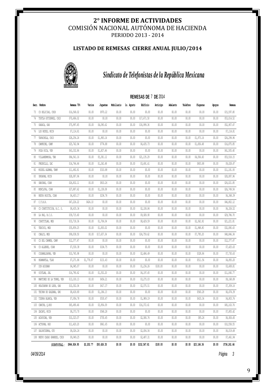## **LISTADO DE REMESAS CIERRE ANUAL JULIO/2014**



## *Sindicato de Telefonistas de la República Mexicana*

#### **REMESAS DE** 7 **DE** 2014

|    | Secc. Nombre                  | Remesa 70%   | Varios     | Juquetes    | Mobiliario | 1o. Agosto | Edificio     | Anticipo | Adelanto | Teléfono | Playeras             | Apoyos | Remesa       |
|----|-------------------------------|--------------|------------|-------------|------------|------------|--------------|----------|----------|----------|----------------------|--------|--------------|
|    | 73 CD DELICIAS, CHIH          | \$16,568.02  | \$0.00     | \$970.22    | \$0.00     | \$0.00     | \$0.00       | \$0.00   | \$0.00   | \$0.00   | \$0.00               | \$0.00 | \$15,597.80  |
| 74 | TUXTLA GUTIERREZ, CHIS        | \$70,686.02  | \$0.00     | \$0.00      | \$0.00     | \$0.00     | \$17,671.50  | \$0.00   | \$0.00   | \$0.00   | \$0.00               | \$0.00 | \$53,014.52  |
|    | 75 OAXACA, OAX                | \$75,997.45  | \$0.00     | \$4,090.62  | \$0.00     | \$0.00     | \$18,999.36  | \$0.00   | \$0.00   | \$0.00   | \$0.00               | \$0.00 | \$52,907.47  |
|    | 76 LOS REYES, MICH            | \$7,114.81   | \$0.00     | \$0.00      | \$0.00     | \$0.00     | \$0.00       | \$0.00   | \$0.00   | \$0.00   | \$0.00               | \$0.00 | \$7,114.81   |
|    | 77 TAPACHULA, CHIS            | \$28,256.24  | \$0.00     | \$1,983.14  | \$0.00     | \$0.00     | \$0.00       | \$0.00   | \$0.00   | \$0.00   | \$1,973.16           | \$0.00 | \$24,299.94  |
|    | 78 CAMPECHE, CAMP             | \$25,742.94  | \$0.00     | \$774.88    | \$0.00     | \$0.00     | \$6,435.73   | \$0.00   | \$0.00   | \$0.00   | \$1,656.48           | \$0.00 | \$16,875.85  |
| 79 | POZA RICA, VER                | \$63,332.86  | \$0.00     | \$1,827.46  | \$0.00     | \$0.00     | \$0.00       | \$0.00   | \$0.00   | \$0.00   | \$0.00               | \$0.00 | \$61,505.40  |
|    | 80 VILLAHERMOSA, TAB          | \$84,541.16  | \$0.00     | \$5,381.12  | \$0.00     | \$0.00     | \$21,135.29  | \$0.00   | \$0.00   | \$0.00   | \$4,506.60           | \$0.00 | \$53,518.15  |
|    | 81 FRESNILLO, ZAC             | \$14,766.44  | \$0.00     | \$1,242.48  | \$0.00     | \$0.00     | \$3,691.61   | \$0.00   | \$0.00   | \$0.00   | \$803.88             | \$0.00 | \$9,028.47   |
| 82 | MIGUEL ALEMAN, TAMP           | \$11,492.81  | \$0.00     | \$310.88    | \$0.00     | \$0.00     | \$0.00       | \$0.00   | \$0.00   | \$0.00   | \$0.00               | \$0.00 | \$11,181.93  |
| 83 | URUAPAN, MICH                 | \$28,087.96  | \$0.00     | \$0.00      | \$0.00     | \$0.00     | \$0.00       | \$0.00   | \$0.00   | \$0.00   | \$0.00               | \$0.00 | \$28,087.96  |
| 84 | SABINAS, COAH                 | \$26,832.11  | \$0.00     | \$810.26    | \$0.00     | \$0.00     | \$0.00       | \$0.00   | \$0.00   | \$0.00   | \$0.00               | \$0.00 | \$26,021.85  |
|    | 85 MONCLOVA, COAH             | \$27,887.62  | \$0.00     | \$1,138.08  | \$0.00     | \$0.00     | \$0.00       | \$0.00   | \$0.00   | \$0.00   | \$0.00               | \$0.00 | \$26,749.54  |
|    | 86 NUEVA ROSITA, COAH         | \$6,603.17   | \$0.00     | \$234.78    | \$0.00     | \$0.00     | \$0.00       | \$0.00   | \$0.00   | \$0.00   | \$0.00               | \$0.00 | \$6,368.39   |
|    | 87 C.T.B.R.                   | \$47,226.22  | \$424.10   | \$0.00      | \$0.00     | \$0.00     | \$0.00       | \$0.00   | \$0.00   | \$0.00   | \$0.00               | \$0.00 | \$46,802.12  |
| 88 | CD CONSTITUCION, B.C. S.      | \$8,435.36   | \$0.00     | \$0.00      | \$0.00     | \$0.00     | \$2,108.84   | \$0.00   | \$0.00   | \$0.00   | \$0.00               | \$0.00 | \$6,326.52   |
| 89 | LA PAZ, B.C.S.                | \$39,715.60  | \$0.00     | \$0.00      | \$0.00     | \$0.00     | \$9,928.90   | \$0.00   | \$0.00   | \$0.00   | \$0.00               | \$0.00 | \$29,786.70  |
| 90 | CUAUTITLAN, MEX               | \$33,718.36  | \$0.00     | \$1,704.04  | \$0.00     | \$0.00     | \$8,429.59   | \$0.00   | \$0.00   | \$0.00   | \$2,362.92           | \$0.00 | \$21,221.81  |
| 91 | TEXCOCO, MEX                  | \$35,859.25  | \$0.00     | \$1,830.02  | \$0.00     | \$0.00     | \$0.00       | \$0.00   | \$0.00   | \$0.00   | \$1,948.80           | \$0.00 | \$32,080.43  |
| 92 | CHALCO, MEX                   | \$99,038.50  | \$0.00     | \$17,637.34 | \$0.00     | \$0.00     | \$24,759.62  | \$0.00   | \$0.00   | \$0.00   | \$7,795.20           | \$0.00 | \$48,846.34  |
| 93 | CD DEL CARMEN, CAMP           | \$12,377.47  | \$0.00     | \$0.00      | \$0.00     | \$0.00     | \$0.00       | \$0.00   | \$0.00   | \$0.00   | \$0.00               | \$0.00 | \$12,377.47  |
| 94 | CD ALLENDE, COAH              | \$7,530.38   | \$0.00     | \$104.75    | \$0.00     | \$0.00     | \$0.00       | \$0.00   | \$0.00   | \$0.00   | \$0.00               | \$0.00 | \$7,425.63   |
| 95 | COSAMALOAPAN, VER             | \$10,745.98  | \$0.00     | \$0.00      | \$0.00     | \$0.00     | \$2,686.49   | \$0.00   | \$0.00   | \$0.00   | \$328.86             | \$0.00 | \$7,730.63   |
| 96 | HUAMANTIA, TIAX               | \$7,271.86   | \$1,778.67 | \$131.43    | \$0.00     | \$0.00     | \$0.00       | \$0.00   | \$0.00   | \$0.00   | \$511.56             | \$0.00 | \$4,850.20   |
| 97 | SIN ASIGNAR                   | \$4,945.07   | \$0.00     | \$0.00      | \$0.00     | \$0.00     | \$1,236.26   | \$100.00 | \$0.00   | \$0.00   | \$0.00               | \$0.00 | \$3,608.81   |
| 98 | OCOTLAN, JAL                  | \$16,790.62  | \$0.00     | \$1,552.20  | \$0.00     | \$0.00     | \$4,197.65   | \$0.00   | \$0.00   | \$0.00   | \$0.00               | \$0.00 | \$11,040.77  |
|    | 99 MARTINEZ DE LA TORRE, VER  | \$13,100.13  | \$0.00     | \$656.21    | \$0.00     | \$0.00     | \$3,275.03   | \$0.00   | \$0.00   | \$0.00   | \$0.00               | \$0.00 | \$9,168.89   |
|    | 100 HUAJUAPAN DE LEON, OAX    | \$10,302.04  | \$0.00     | \$417.37    | \$0.00     | \$0.00     | \$2,575.51   | \$0.00   | \$0.00   | \$0.00   | \$0.00               | \$0.00 | \$7,309.16   |
|    | 101 TECPAN DE GALEANA, GRO    | \$8,418.80   | \$0.00     | \$1,184.13  | \$0.00     | \$0.00     | \$0.00       | \$0.00   | \$0.00   | \$0.00   | \$560.28             | \$0.00 | \$6,674.39   |
|    | 102 TIERRA BLANCA, VER        | \$7,956.78   | \$0.00     | \$530.47    | \$0.00     | \$0.00     | \$1,989.19   | \$0.00   | \$0.00   | \$0.00   | \$633.36             | \$0.00 | \$4,803.76   |
|    | 103 CANCUN, O.ROO             | \$65,490.46  | \$0.00     | \$3,954.09  | \$0.00     | \$0.00     | \$16,372.61  | \$0.00   | \$0.00   | \$0.00   | \$0.00               | \$0.00 | \$45,163.76  |
|    | 104 ZACAPU, MICH              | \$8,373.70   | \$0.00     | \$568.28    | \$0.00     | \$0.00     | \$0.00       | \$0.00   | \$0.00   | \$0.00   | \$0.00               | \$0.00 | \$7,805.42   |
|    | 105 ACAYUCAN, VER             | \$10,323.07  | \$0.00     | \$730.45    | \$0.00     | \$0.00     | \$2,580.76   | \$0.00   | \$0.00   | \$0.00   | \$85.26              | \$0.00 | \$6,926.60   |
|    | 106 ACTOPAN, HGO              | \$11,420.20  | \$0.00     | \$861.65    | \$0.00     | \$0.00     | \$0.00       | \$0.00   | \$0.00   | \$0.00   | \$0.00               | \$0.00 | \$10,558.55  |
|    | 107 SALVATIERRA, GTO          | \$8,026.24   | \$0.00     | \$0.00      | \$0.00     | \$0.00     | \$2,006.56   | \$0.00   | \$0.00   | \$0.00   | \$0.00               | \$0.00 | \$6,019.68   |
|    | 108 NUEVO CASAS GRANDES, CHIH | \$9,949.25   | \$0.00     | \$0.00      | \$0.00     | \$0.00     | \$2,487.31   | \$0.00   | \$0.00   | \$0.00   | \$0.00               | \$0.00 | \$7,461.94   |
|    | SUBTOTAL:                     | \$964,924.95 | \$2,202.77 | \$50,626.35 | \$0.00     | \$0.00     | \$152,567.81 | \$100.00 | \$0.00   |          | $$0.00$ $$23,166.36$ | \$0.00 | \$736,261.66 |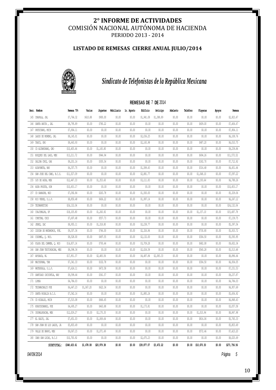### **LISTADO DE REMESAS CIERRE ANUAL JULIO/2014**



## *Sindicato de Telefonistas de la República Mexicana*

#### **REMESAS DE** 7 **DE** 2014

|     | Secc. Nombre                  | Remesa 70%   | Varios     | Juguetes    | Mobiliario | lo. Agosto | Edificio    | Anticipo   | Adelanto | Teléfono | Playeras    | Apoyos | Remesa       |
|-----|-------------------------------|--------------|------------|-------------|------------|------------|-------------|------------|----------|----------|-------------|--------|--------------|
|     | 145 CHAPALA, JAL              | \$7,764.32   | \$610.88   | \$900.00    | \$0.00     | \$0.00     | \$1,941.08  | \$1,388.89 | \$0.00   | \$0.00   | \$0.00      | \$0.00 | \$2,923.47   |
|     | 146 SANTA ANITA, JAL          | \$8,795.89   | \$0.00     | \$780.22    | \$0.00     | \$0.00     | \$0.00      | \$0.00     | \$0.00   | \$0.00   | \$609.00    | \$0.00 | \$7,406.67   |
|     | 147 PATZCUARO, MICH           | \$7,904.11   | \$0.00     | \$0.00      | \$0.00     | \$0.00     | \$0.00      | \$0.00     | \$0.00   | \$0.00   | \$0.00      | \$0.00 | \$7,904.11   |
|     | 148 LAGOS DE MORENO, JAL      | \$8,145.01   | \$0.00     | \$0.00      | \$0.00     | \$0.00     | \$2,036.25  | \$0.00     | \$0.00   | \$0.00   | \$0.00      | \$0.00 | \$6,108.76   |
|     | 149 TAXCO, GRO                | \$8,663.93   | \$0.00     | \$0.00      | \$0.00     | \$0.00     | \$2,165.98  | \$0.00     | \$0.00   | \$0.00   | \$487.20    | \$0.00 | \$6,010.75   |
|     | 150 CD ALTAMIRANO, GRO        | \$10,405.66  | \$0.00     | \$1,165.80  | \$0.00     | \$0.00     | \$0.00      | \$0.00     | \$0.00   | \$0.00   | \$0.00      | \$0.00 | \$9,239.86   |
|     | 151 BOSQUES DEL LAGO, MEX     | \$13,211.72  | \$0.00     | \$944.94    | \$0.00     | \$0.00     | \$0.00      | \$0.00     | \$0.00   | \$0.00   | \$694.26    | \$0.00 | \$11,572.52  |
|     | 152 SALINA CRUZ, OAX          | \$8,201.16   | \$0.00     | \$305.54    | \$0.00     | \$0.00     | \$0.00      | \$0.00     | \$0.00   | \$0.00   | \$182.70    | \$0.00 | \$7,712.92   |
|     | 153 ACAPONETA, NAY            | \$6,357.75   | \$0.00     | \$0.00      | \$0.00     | \$0.00     | \$1,589.43  | \$0.00     | \$0.00   | \$0.00   | \$316.68    | \$0.00 | \$4,451.64   |
|     | 154 SAN JOSE DEL CABO, B.C.S. | \$11,527.09  | \$0.00     | \$0.00      | \$0.00     | \$0.00     | \$2,881.77  | \$0.00     | \$0.00   | \$0.00   | \$1,048.10  | \$0.00 | \$7,597.22   |
| 155 | OJO DE AGUA, MEX              | \$12,447.33  | \$0.00     | \$1,353.60  | \$0.00     | \$0.00     | \$3,111.83  | \$0.00     | \$0.00   | \$0.00   | \$1,193.64  | \$0.00 | \$6,788.26   |
|     | 156 AGUA PRIETA, SON          | \$10,453.17  | \$0.00     | \$0.00      | \$0.00     | \$0.00     | \$0.00      | \$0.00     | \$0.00   | \$0.00   | \$0.00      | \$0.00 | \$10,453.17  |
|     | 157 CD SAHAGUN, HGO           | \$7,092.84   | \$0.00     | \$263.78    | \$0.00     | \$0.00     | \$1,500.00  | \$0.00     | \$0.00   | \$0.00   | \$0.00      | \$0.00 | \$5,329.06   |
|     | 158 RIO VERDE, S.L.P.         | \$8,850.48   | \$0.00     | \$606.22    | \$0.00     | \$0.00     | \$1,997.14  | \$0.00     | \$0.00   | \$0.00   | \$0.00      | \$0.00 | \$6,247.12   |
| 159 | TECMARKETING                  | \$24,132.04  | \$0.00     | \$0.00      | \$0.00     | \$0.00     | \$0.00      | \$0.00     | \$0.00   | \$0.00   | \$0.00      | \$0.00 | \$24,132.04  |
| 160 | CUAJIMALPA, DF                | \$18,105.80  | \$0.00     | \$1,260.92  | \$0.00     | \$0.00     | \$0.00      | \$0.00     | \$0.00   | \$0.00   | \$1,157.10  | \$0.00 | \$15,687.78  |
| 161 | COMITAN, CHIS                 | \$7,697.48   | \$0.00     | \$557.73    | \$0.00     | \$0.00     | \$0.00      | \$0.00     | \$0.00   | \$0.00   | \$0.00      | \$0.00 | \$7,139.75   |
| 162 | JEREZ, ZAC                    | \$8,955.11   | \$0.00     | \$1,318.80  | \$0.00     | \$0.00     | \$2,238.77  | \$0.00     | \$0.00   | \$0.00   | \$0.00      | \$0.00 | \$5,397.54   |
| 163 | IZUCAR DE MATAMOROS, PUE.     | \$9,307.36   | \$0.00     | \$746.00    | \$0.00     | \$0.00     | \$2,326.84  | \$0.00     | \$0.00   | \$0.00   | \$730.80    | \$0.00 | \$5,503.72   |
| 164 | COZUMEL, Q. ROO.              | \$8,528.00   | \$0.00     | \$497.55    | \$0.00     | \$0.00     | \$2,132.00  | \$0.00     | \$0.00   | \$0.00   | \$304.50    | \$0.00 | \$5,593.95   |
| 165 | PLAYA DEL CARMEN, Q. ROO      | \$14,837.14  | \$0.00     | \$793.44    | \$0.00     | \$0.00     | \$3,709.28  | \$0.00     | \$0.00   | \$0.00   | \$682.08    | \$0.00 | \$9,652.34   |
| 166 | SAN JUAN TEOTIHUACAN, MEX     | \$8,098.34   | \$0.00     | \$0.00      | \$0.00     | \$0.00     | \$2,024.58  | \$0.00     | \$0.00   | \$0.00   | \$560.28    | \$0.00 | \$5,513.48   |
| 167 | APODACA, NL                   | \$17,951.37  | \$0.00     | \$2,483.56  | \$0.00     | \$0.00     | \$4,487.84  | \$2,083.33 | \$0.00   | \$0.00   | \$0.00      | \$0.00 | \$8,896.64   |
| 168 | MACUSPANA, TAB                | \$7,341.33   | \$0.00     | \$102.78    | \$0.00     | \$0.00     | \$0.00      | \$0.00     | \$0.00   | \$0.00   | \$304.50    | \$0.00 | \$6,934.05   |
|     | 169 MATEHUALA, S.L.P.         | \$7,624.11   | \$0.00     | \$472.58    | \$0.00     | \$0.00     | \$0.00      | \$0.00     | \$0.00   | \$0.00   | \$0.00      | \$0.00 | \$7,151.53   |
|     | 170 SANTIAGO IXCUINTLA, NAY   | \$9,599.44   | \$0.00     | \$361.57    | \$0.00     | \$0.00     | \$0.00      | \$0.00     | \$0.00   | \$0.00   | \$0.00      | \$0.00 | \$9,237.87   |
|     | 171 LIMSA                     | \$4,784.03   | \$0.00     | \$0.00      | \$0.00     | \$0.00     | \$0.00      | \$0.00     | \$0.00   | \$0.00   | \$0.00      | \$0.00 | \$4,784.03   |
|     | 172 TECAMACHALCO PUE          | \$6,647.23   | \$1,067.20 | \$622.34    | \$0.00     | \$0.00     | \$0.00      | \$0.00     | \$0.00   | \$0.00   | \$0.00      | \$0.00 | \$4,957.69   |
|     | 173 SANTA ROSALIA B.C.S.      | \$7,542.16   | \$0.00     | \$0.00      | \$0.00     | \$0.00     | \$1,885.24  | \$0.00     | \$0.00   | \$0.00   | \$0.00      | \$0.00 | \$5,656.92   |
|     | 174 CD HIDALGO, MICH          | \$7,515.08   | \$0.00     | \$666.65    | \$0.00     | \$0.00     | \$0.00      | \$0.00     | \$0.00   | \$0.00   | \$0.00      | \$0.00 | \$6,848.43   |
|     | 175 HUAUCHINANGO, PUE         | \$4,695.27   | \$0.00     | \$463.88    | \$0.00     | \$0.00     | \$1,173.81  | \$0.00     | \$0.00   | \$0.00   | \$0.00      | \$0.00 | \$3,057.58   |
|     | 176 CHIMALHUACAN, MEX         | \$12,029.27  | \$0.00     | \$2,170.35  | \$0.00     | \$0.00     | \$0.00      | \$0.00     | \$0.00   | \$0.00   | \$1,010.94  | \$0.00 | \$8,847.98   |
|     | 177 EL SALTO, JAL             | \$7,651.03   | \$0.00     | \$1,069.64  | \$0.00     | \$0.00     | \$0.00      | \$0.00     | \$0.00   | \$0.00   | \$816.06    | \$0.00 | \$5,765.33   |
| 178 | SAN JUAN DE LOS LAGOS, JA     | \$5,803.49   | \$0.00     | \$0.00      | \$0.00     | \$0.00     | \$0.00      | \$0.00     | \$0.00   | \$0.00   | \$0.00      | \$0.00 | \$5,803.49   |
| 179 | VALLE DE BRAVO, MEX           | \$9,067.15   | \$0.00     | \$1,071.49  | \$0.00     | \$0.00     | \$0.00      | \$0.00     | \$0.00   | \$0.00   | \$572.46    | \$0.00 | \$7,423.20   |
|     | 180 CABO SAN LUCAS, B.C.S     | \$10,700.92  | \$0.00     | \$0.00      | \$0.00     | \$0.00     | \$2,675.23  | \$0.00     | \$0.00   | \$0.00   | \$0.00      | \$0.00 | \$8,025.69   |
|     | SUBTOTAL:                     | \$348,433.61 | \$1,678.08 | \$20,979.38 | \$0.00     | \$0.00     | \$39,877.07 | \$3,472.22 | \$0.00   | \$0.00   | \$10,670.30 | \$0.00 | \$271,756.56 |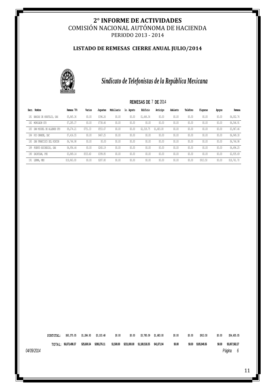### **LISTADO DE REMESAS CIERRE ANUAL JULIO/2014**



## *Sindicato de Telefonistas de la República Mexicana*

| Secc. | Nambre                    | Remesa 70%  | Varios   | Juquetes | Mobiliario | 1o. Agosto | Edificio   | Anticipo   | Adelanto | Teléfono | Playeras | Apoyos | Remesa      |
|-------|---------------------------|-------------|----------|----------|------------|------------|------------|------------|----------|----------|----------|--------|-------------|
| 181   | BAHIAS DE HUATULCO, OAX   | \$5,865.36  | \$0.00   | \$396.26 | \$0.00     | \$0.00     | \$1,466.34 | \$0.00     | \$0.00   | \$0.00   | \$0.00   | \$0.00 | \$4,002.76  |
|       | 182 MOROLEON GTO          | \$7,285.37  | \$0.00   | \$738.46 | \$0.00     | \$0.00     | \$0.00     | \$0.00     | \$0.00   | \$0.00   | \$0.00   | \$0.00 | \$6,546.91  |
| 183   | SAN MIGUEL DE ALLENDE GTO | \$9,274.21  | \$751.33 | \$553.67 | \$0.00     | \$0.00     | \$2,318.75 | \$1,683.00 | \$0.00   | \$0.00   | \$0.00   | \$0.00 | \$3,967.46  |
|       | 184 RIO GRANDE, ZAC       | \$7,416.55  | \$0.00   | \$467.25 | \$0.00     | \$0.00     | \$0.00     | \$0.00     | \$0.00   | \$0.00   | \$0.00   | \$0.00 | \$6,949.30  |
| 185   | SAN FRANCISCO DEL RINCON  | \$6,744.98  | \$0.00   | \$0.00   | \$0.00     | \$0.00     | \$0.00     | \$0.00     | \$0.00   | \$0.00   | \$0.00   | \$0.00 | \$6,744.98  |
| 189   | PUERTO ESCONDIDO, OAX     | \$4,956.44  | \$0.00   | \$260.19 | \$0.00     | \$0.00     | \$0.00     | \$0.00     | \$0.00   | \$0.00   | \$0.00   | \$0.00 | \$4,696.25  |
|       | 190 ZACATLAN, PUE         | \$3,869.14  | \$533.60 | \$399.85 | \$0.00     | \$0.00     | \$0.00     | \$0.00     | \$0.00   | \$0.00   | \$0.00   | \$0.00 | \$2,935.69  |
|       | 191 LERMA, MEX            | \$19,963.00 | \$0.00   | \$287.80 | \$0.00     | \$0.00     | \$0.00     | \$0.00     | \$0.00   | \$0.00   | \$913.50 | \$0.00 | \$18,761.70 |

**SUBTOTAL: \$65,375.05 \$1,284.93 \$3,103.48 \$0.00 \$0.00 \$3,785.09 \$1,683.00 \$0.00 \$0.00 \$913.50 \$0.00 \$54,605.05** TOTAL: \$65,375.05 \$1,284.93 \$3,103.48 \$0.00 \$0.00 \$3,785.09 \$1,683.00 \$0.00 \$0.00 \$913.50 \$0.00 \$54,605.05<br>TOTAL: \$6,873,498.37 \$25,600.34 \$280,276.11 \$1,500.00 \$231,000.00 \$1,180,518.35 \$41,071.94 \$0.00 \$0.00 \$105,949.36 *04/09/2014 Página 6*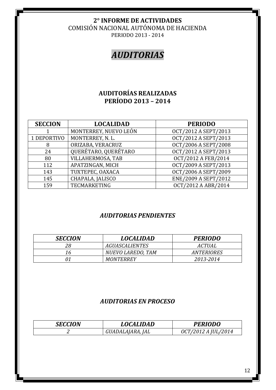COMISIÓN NACIONAL AUTÓNOMA DE HACIENDA

PERIODO 2013 - 2014

## *AUDITORIAS*

## **AUDITORÍAS REALIZADAS PERÍODO 2013 – 2014**

| <b>SECCION</b> | <b>LOCALIDAD</b>      | <b>PERIODO</b>       |
|----------------|-----------------------|----------------------|
|                | MONTERREY, NUEVO LEÓN | OCT/2012 A SEPT/2013 |
| 1 DEPORTIVO    | MONTERREY, N. L.      | OCT/2012 A SEPT/2013 |
| 8              | ORIZABA, VERACRUZ     | OCT/2006 A SEPT/2008 |
| 24             | QUERÉTARO, QUERÉTARO  | OCT/2012 A SEPT/2013 |
| 80             | VILLAHERMOSA, TAB     | OCT/2012 A FEB/2014  |
| 112            | APATZINGAN, MICH      | OCT/2009 A SEPT/2013 |
| 143            | TUXTEPEC, OAXACA      | OCT/2006 A SEPT/2009 |
| 145            | CHAPALA, JALISCO      | ENE/2009 A SEPT/2012 |
| 159            | <b>TECMARKETING</b>   | OCT/2012 A ABR/2014  |

## *AUDITORIAS PENDIENTES*

| <b>SECCION</b> | <b>LOCALIDAD</b>      | <b>PERIODO</b>    |
|----------------|-----------------------|-------------------|
| 28             | <b>AGUASCALIENTES</b> | <i>ACTUAL</i>     |
| 16             | NUEVO LAREDO, TAM     | <b>ANTERIORES</b> |
| 01             | <i>MONTERREY</i>      | 2013-2014         |

## *AUDITORIAS EN PROCESO*

| <b>SECCION</b> | <b>LOCALIDAD</b>           | <b>PERIODO</b>     |
|----------------|----------------------------|--------------------|
| ∼              | <i>IAL</i><br>GUADALAIARA. | CT/2012 A JUL/2014 |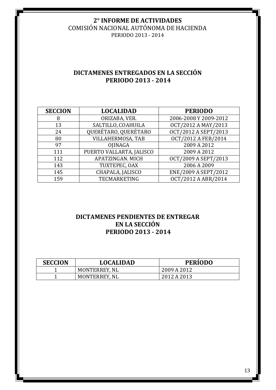COMISIÓN NACIONAL AUTÓNOMA DE HACIENDA PERIODO 2013 - 2014

## **DICTAMENES ENTREGADOS EN LA SECCIÓN PERIODO 2013 - 2014**

| <b>SECCION</b> | <b>LOCALIDAD</b>         | <b>PERIODO</b>        |
|----------------|--------------------------|-----------------------|
| 8              | ORIZABA, VER.            | 2006-2008 Y 2009-2012 |
| 13             | SALTILLO, COAHUILA       | OCT/2012 A MAY/2013   |
| 24             | QUERÉTARO, QUERÉTARO     | OCT/2012 A SEPT/2013  |
| 80             | VILLAHERMOSA, TAB        | OCT/2012 A FEB/2014   |
| 97             | OJINAGA                  | 2009 A 2012           |
| 111            | PUERTO VALLARTA, JALISCO | 2009 A 2012           |
| 112            | APATZINGAN. MICH         | OCT/2009 A SEPT/2013  |
| 143            | TUXTEPEC, OAX            | 2006 A 2009           |
| 145            | CHAPALA, JALISCO         | ENE/2009 A SEPT/2012  |
| 159            | <b>TECMARKETING</b>      | OCT/2012 A ABR/2014   |

## **DICTAMENES PENDIENTES DE ENTREGAR EN LA SECCIÓN PERIODO 2013 - 2014**

| <b>SECCION</b> | <b>LOCALIDAD</b> | <b>PERIODO</b> |
|----------------|------------------|----------------|
|                | MONTERREY, NL    | 2009 A 2012    |
|                | MONTERREY, NL    | 2012 A 2013    |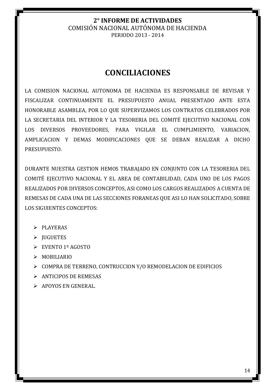## **CONCILIACIONES**

LA COMISION NACIONAL AUTONOMA DE HACIENDA ES RESPONSABLE DE REVISAR Y FISCALIZAR CONTINUAMENTE EL PRESUPUESTO ANUAL PRESENTADO ANTE ESTA HONORABLE ASAMBLEA, POR LO QUE SUPERVIZAMOS LOS CONTRATOS CELEBRADOS POR LA SECRETARIA DEL INTERIOR Y LA TESORERIA DEL COMITÉ EJECUTIVO NACIONAL CON LOS DIVERSOS PROVEEDORES, PARA VIGILAR EL CUMPLIMIENTO, VARIACION, AMPLICACION Y DEMAS MODIFICACIONES QUE SE DEBAN REALIZAR A DICHO PRESUPUESTO.

DURANTE NUESTRA GESTION HEMOS TRABAJADO EN CONJUNTO CON LA TESORERIA DEL COMITÉ EJECUTIVO NACIONAL Y EL AREA DE CONTABILIDAD, CADA UNO DE LOS PAGOS REALIZADOS POR DIVERSOS CONCEPTOS, ASI COMO LOS CARGOS REALIZADOS A CUENTA DE REMESAS DE CADA UNA DE LAS SECCIONES FORANEAS QUE ASI LO HAN SOLICITADO, SOBRE LOS SIGUIENTES CONCEPTOS:

- $\triangleright$  PLAYERAS
- $\triangleright$  JUGUETES
- $\triangleright$  EVENTO 1º AGOSTO
- $>$ MOBILIARIO
- COMPRA DE TERRENO, CONTRUCCION Y/O REMODELACION DE EDIFICIOS
- $\triangleright$  ANTICIPOS DE REMESAS
- $\triangleright$  APOYOS EN GENERAL.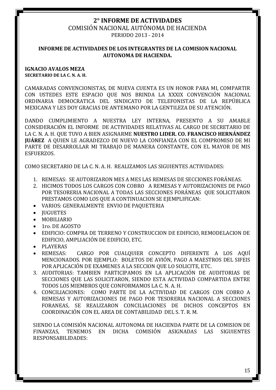#### COMISIÓN NACIONAL AUTÓNOMA DE HACIENDA PERIODO 2013 - 2014

### **INFORME DE ACTIVIDADES DE LOS INTEGRANTES DE LA COMISION NACIONAL AUTONOMA DE HACIENDA.**

#### **IGNACIO AVALOS MEZA SECRETARIO DE LA C. N. A. H.**

CAMARADAS CONVENCIONISTAS, DE NUEVA CUENTA ES UN HONOR PARA MI, COMPARTIR CON USTEDES ESTE ESPACIO QUE NOS BRINDA LA XXXIX CONVENCIÓN NACIONAL ORDINARIA DEMOCRATICA DEL SINDICATO DE TELEFONISTAS DE LA REPÚBLICA MEXICANA Y LES DOY GRACIAS DE ANTEMANO POR LA GENTILEZA DE SU ATENCIÓN.

DANDO CUMPLIMIENTO A NUESTRA LEY INTERNA, PRESENTO A SU AMABLE CONSIDERACIÓN EL INFORME DE ACTIVIDADES RELATIVAS AL CARGO DE SECRETARIO DE LA C. N. A. H. QUE TUVO A BIEN ASIGNARME **NUESTRO LIDER. CO. FRANCISCO HERNÁNDEZ JUÁREZ** A QUIEN LE AGRADEZCO DE NUEVO LA CONFIANZA CON EL COMPROMISO DE MI PARTE DE DESARROLLAR MI TRABAJO DE MANERA CONSTANTE, CON EL MAYOR DE MIS ESFUERZOS.

COMO SECRETARIO DE LA C. N. A. H. REALIZAMOS LAS SIGUIENTES ACTIVIDADES:

- 1. REMESAS: SE AUTORIZARON MES A MES LAS REMESAS DE SECCIONES FORÁNEAS.
- 2. HICIMOS TODOS LOS CARGOS CON COBRO A REMESAS Y AUTORIZACIONES DE PAGO POR TESORERIA NACIONAL A TODAS LAS SECCIONES FORÁNEAS QUE SOLICITARON PRESTAMOS COMO LOS QUE A CONTINUACION SE EJEMPLIFICAN:
- VARIOS: GENERALMENTE ENVIO DE PAQUETERIA
- **JUGUETES**
- MOBILIARIO
- $\bullet$  1ro. DE AGOSTO
- EDIFICIO: COMPRA DE TERRENO Y CONSTRUCCION DE EDIFICIO, REMODELACION DE EDIFICIO, AMPLIACIÓN DE EDIFICIO, ETC.
- PLAYERAS
- REMESAS: CARGO POR CUALQUIER CONCEPTO DIFERENTE A LOS AQUÍ MENCIONADOS. POR EJEMPLO: BOLETOS DE AVIÓN, PAGO A MAESTROS DEL SIFEIS POR APLICACIÓN DE EXAMENES A LA SECCION QUE LO SOLICITE, ETC.
- 3. AUDITORIAS: TAMBIEN PARTICIPAMOS EN LA APLICACIÓN DE AUDITORIAS DE SECCIONES QUE LAS SOLICITARON, SIENDO ESTA ACTIVIDAD COMPARTIDA ENTRE TODOS LOS MIEMBROS QUE CONFORMAMOS LA C. N. A. H.
- 4. CONCILIACIONES: COMO PARTE DE LA ACTIVIDAD DE CARGOS CON COBRO A REMESAS Y AUTORIZACIONES DE PAGO POR TESORERIA NACIONAL A SECCIONES FORANEAS, SE REALIZARON CONCILIACIONES DE DICHOS CONCEPTOS EN COORDINACIÓN CON EL AREA DE CONTABILIDAD DEL S. T. R. M.

SIENDO LA COMISIÓN NACIONAL AUTONOMA DE HACIENDA PARTE DE LA COMISION DE FINANZAS, TENEMOS EN DICHA COMISIÓN ASIGNADAS LAS SIGUIENTES RESPONSABILIDADES: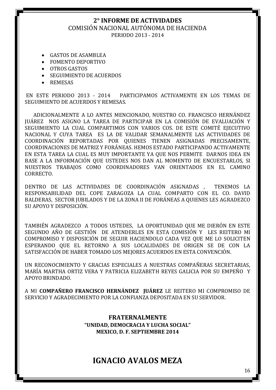#### COMISIÓN NACIONAL AUTÓNOMA DE HACIENDA PERIODO 2013 - 2014

- GASTOS DE ASAMBLEA
- FOMENTO DEPORTIVO
- OTROS GASTOS
- SEGUIMIENTO DE ACUERDOS
- REMESAS

EN ESTE PERIODO 2013 - 2014 PARTICIPAMOS ACTIVAMENTE EN LOS TEMAS DE SEGUIMIENTO DE ACUERDOS Y REMESAS.

 ADICIONALMENTE A LO ANTES MENCIONADO, NUESTRO CO. FRANCISCO HERNÁNDEZ JUÁREZ NOS ASIGNO LA TAREA DE PARTICIPAR EN LA COMISIÓN DE EVALUACIÓN Y SEGUIMIENTO LA CUAL COMPARTIMOS CON VARIOS COS. DE ESTE COMITÉ EJECUTIVO NACIONAL Y CUYA TAREA ES LA DE VALIDAR SEMANALMENTE LAS ACTIVIDADES DE COORDINACIÓN REPORTADAS POR QUIENES TIENEN ASIGNADAS PRECISAMENTE, COORDINACIONES DE MATRIZ Y FORÁNEAS. HEMOS ESTADO PARTICIPANDO ACTIVAMENTE EN ESTA TAREA LA CUAL ES MUY IMPORTANTE YA QUE NOS PERMITE DARNOS IDEA EN BASE A LA INFORMACIÓN QUE USTEDES NOS DAN AL MOMENTO DE ENCUESTARLOS, SI NUESTROS TRABAJOS COMO COORDINADORES VAN ORIENTADOS EN EL CAMINO CORRECTO.

DENTRO DE LAS ACTIVIDADES DE COORDINACIÓN ASIGNADAS , TENEMOS LA RESPONSABILIDAD DEL COPE ZARAGOZA LA CUAL COMPARTO CON EL CO. DAVID BALDERAS, SECTOR JUBILADOS Y DE LA ZONA II DE FORÁNEAS A QUIENES LES AGRADEZCO SU APOYO Y DISPOSICIÓN.

TAMBIÉN AGRADEZCO A TODOS USTEDES, LA OPORTUNIDAD QUE ME DIERÓN EN ESTE SEGUNDO AÑO DE GESTIÓN DE ATENDERLES EN ESTA COMISIÓN Y LES REITERO MI COMPROMISO Y DISPOSICIÓN DE SEGUIR HACIENDOLO CADA VEZ QUE ME LO SOLICITEN ESPERANDO QUE EL RETORNO A SUS LOCALIDADES DE ORIGEN SE DE CON LA SATISFACCIÓN DE HABER TOMADO LOS MEJORES ACUERDOS EN ESTA CONVENCIÓN.

UN RECONOCIMIENTO Y GRACIAS ESPECIALES A NUESTRAS COMPAÑERAS SECRETARIAS, MARÍA MARTHA ORTIZ VERA Y PATRICIA ELIZABETH REYES GALICIA POR SU EMPEÑO Y APOYO BRINDADO.

A MI **COMPAÑERO FRANCISCO HERNÁNDEZ JUÁREZ** LE REITERO MI COMPROMISO DE SERVICIO Y AGRADECIMIENTO POR LA CONFIANZA DEPOSITADA EN SU SERVIDOR.

> **FRATERNALMENTE "UNIDAD, DEMOCRACIA Y LUCHA SOCIAL" MEXICO, D. F. SEPTIEMBRE 2014**

## **IGNACIO AVALOS MEZA**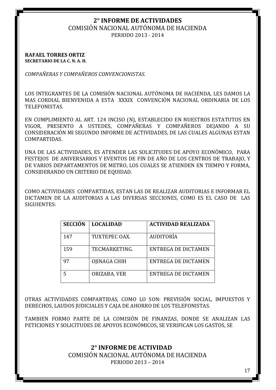## COMISIÓN NACIONAL AUTÓNOMA DE HACIENDA

PERIODO 2013 - 2014

#### **RAFAEL TORRES ORTIZ SECRETARIO DE LA C. N. A. H.**

*COMPAÑERAS Y COMPAÑEROS CONVENCIONISTAS.*

LOS INTEGRANTES DE LA COMISIÓN NACIONAL AUTÓNOMA DE HACIENDA, LES DAMOS LA MAS CORDIAL BIENVENIDA A ESTA XXXIX CONVENCIÓN NACIONAL ORDINARIA DE LOS TELEFONISTAS.

EN CUMPLIMIENTO AL ART. 124 INCISO (N), ESTABLECIDO EN NUESTROS ESTATUTOS EN VIGOR, PRESENTO A USTEDES, COMPAÑERAS Y COMPAÑEROS DEJANDO A SU CONSIDERACIÓN MI SEGUNDO INFORME DE ACTIVIDADES, DE LAS CUALES ALGUNAS ESTAN COMPARTIDAS.

UNA DE LAS ACTIVIDADES, ES ATENDER LAS SOLICITUDES DE APOYO ECONÓMICO, PARA FESTEJOS DE ANIVERSARIOS Y EVENTOS DE FIN DE AÑO DE LOS CENTROS DE TRABAJO, Y DE VARIOS DEPARTAMENTOS DE METRO, LOS CUALES SE ATIENDEN EN TIEMPO Y FORMA, CONSIDERANDO UN CRITERIO DE EQUIDAD.

COMO ACTIVIDADES COMPARTIDAS, ESTAN LAS DE REALIZAR AUDITORIAS E INFORMAR EL DICTAMEN DE LA AUDITORIAS A LAS DIVERSAS SECCIONES, COMO ES EL CASO DE LAS SIGUIENTES:

| <b>SECCIÓN</b> | <b>LOCALIDAD</b> | <b>ACTIVIDAD REALIZADA</b> |
|----------------|------------------|----------------------------|
| 147            | TUXTEPEC OAX.    | <b>AUDITORÍA</b>           |
| 159            | TECMARKETING.    | ENTREGA DE DICTAMEN        |
| 97             | OJINAGA CHIH     | ENTREGA DE DICTAMEN        |
|                | ORIZABA, VER     | ENTREGA DE DICTAMEN        |

OTRAS ACTIVIDADES COMPARTIDAS, COMO LO SON: PREVISIÓN SOCIAL, IMPUESTOS Y DERECHOS, LAUDOS JUDICIALES Y CAJA DE AHORRO DE LOS TELEFONISTAS.

TAMBIEN FORMO PARTE DE LA COMISIÓN DE FINANZAS, DONDE SE ANALIZAN LAS PETICIONES Y SOLICITUDES DE APOYOS ECONÓMICOS, SE VERIFICAN LOS GASTOS, SE

## **2° INFORME DE ACTIVIDAD**

COMISIÓN NACIONAL AUTÓNOMA DE HACIENDA

PERIODO 2013 – 2014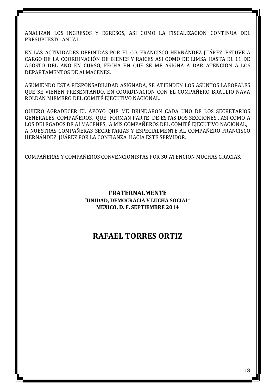ANALIZAN LOS INGRESOS Y EGRESOS, ASI COMO LA FISCALIZACIÓN CONTINUA DEL PRESUPUESTO ANUAL.

EN LAS ACTIVIDADES DEFINIDAS POR EL CO. FRANCISCO HERNÁNDEZ JUÁREZ, ESTUVE A CARGO DE LA COORDINACIÓN DE BIENES Y RAICES ASI COMO DE LIMSA HASTA EL 11 DE AGOSTO DEL AÑO EN CURSO, FECHA EN QUE SE ME ASIGNA A DAR ATENCIÓN A LOS DEPARTAMENTOS DE ALMACENES.

ASUMIENDO ESTA RESPONSABILIDAD ASIGNADA, SE ATIENDEN LOS ASUNTOS LABORALES QUE SE VIENEN PRESENTANDO, EN COORDINACIÓN CON EL COMPAÑERO BRAULIO NAVA ROLDAN MIEMBRO DEL COMITÉ EJECUTIVO NACIONAL.

QUIERO AGRADECER EL APOYO QUE ME BRINDARON CADA UNO DE LOS SECRETARIOS GENERALES, COMPAÑEROS, QUE FORMAN PARTE DE ESTAS DOS SECCIONES , ASI COMO A LOS DELEGADOS DE ALMACENES, A MIS COMPAÑEROS DEL COMITÉ EJECUTIVO NACIONAL, A NUESTRAS COMPAÑERAS SECRETARIAS Y ESPECIALMENTE AL COMPAÑERO FRANCISCO HERNÁNDEZ JUÁREZ POR LA CONFIANZA HACIA ESTE SERVIDOR.

COMPAÑERAS Y COMPAÑEROS CONVENCIONISTAS POR SU ATENCION MUCHAS GRACIAS.

## **FRATERNALMENTE "UNIDAD, DEMOCRACIA Y LUCHA SOCIAL" MEXICO, D. F. SEPTIEMBRE 2014**

## **RAFAEL TORRES ORTIZ**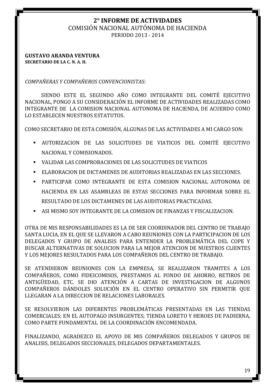#### COMISIÓN NACIONAL AUTÓNOMA DE HACIENDA PERIODO 2013 - 2014

#### **GUSTAVO ARANDA VENTURA SECRETARIO DE LA C. N. A. H.**

*COMPAÑERAS Y COMPAÑEROS CONVENCIONISTAS:*

SIENDO ESTE EL SEGUNDO AÑO COMO INTEGRANTE DEL COMITÉ EJECUTIVO NACIONAL, PONGO A SU CONSIDERACIÓN EL INFORME DE ACTIVIDADES REALIZADAS COMO INTEGRANTE DE LA COMISION NACIONAL AUTONOMA DE HACIENDA, DE ACUERDO COMO LO ESTABLECEN NUESTROS ESTATUTOS.

COMO SECRETARIO DE ESTA COMISIÓN, ALGUNAS DE LAS ACTIVIDADES A MI CARGO SON:

- AUTORIZACION DE LAS SOLICITUDES DE VIATICOS DEL COMITÉ EJECUTIVO NACIONAL Y COMISIONADOS.
- VALIDAR LAS COMPROBACIONES DE LAS SOLICITUDES DE VIATICOS
- ELABORACION DE DICTAMENES DE AUDITORIAS REALIZADAS EN LAS SECCIONES.
- PARTICIPAR COMO INTEGRANTE DE ESTA COMISION NACIONAL AUTONOMA DE HACIENDA EN LAS ASAMBLEAS DE ESTAS SECCIONES PARA INFORMAR SOBRE EL RESULTADO DE LOS DICTAMENES DE LAS AUDITORIAS PRACTICADAS.
- ASI MISMO SOY INTEGRANTE DE LA COMISION DE FINANZAS Y FISCALIZACION.

OTRA DE MIS RESPONSABILIDADES ES LA DE SER COORDINADOR DEL CENTRO DE TRABAJO SANTA LUCIA, EN EL QUE SE LLEVARON A CABO REUNIONES CON LA PARTICIPACION DE LOS DELEGADOS Y GRUPO DE ANALISIS PARA ENTENDER LA PROBLEMÁTICA DEL COPE Y BUSCAR ALTERNATIVAS DE SOLUCION PARA LA MEJOR ATENCION DE NUESTROS CLIENTES Y LOS MEJORES RESULTADOS PARA LOS COMPAÑEROS DEL CENTRO DE TRABAJO.

SE ATENDIERON REUNIONES CON LA EMPRESA, SE REALIZARON TRAMITES A LOS COMPAÑEROS, COMO FIDEICOMISOS, PRESTAMOS AL FONDO DE AHORRO, RETIROS DE ANTIGÜEDAD, ETC. SE DIO ATENCIÓN A CARTAS DE INVESTIGACION DE ALGUNOS COMPAÑEROS DÁNDOLES SOLUCIÓN EN EL CENTRO OPERATIVO SIN PERMITIR QUE LLEGARAN A LA DIRECCION DE RELACIONES LABORALES.

SE RESOLVIERON LAS DIFERENTES PROBLEMÁTICAS PRESENTADAS EN LAS TIENDAS COMERCIALES; EN EL AUTOPAGO INSURGENTES; TIENDA LORETO Y HEROES DE PADIERNA, COMO PARTE FUNDAMENTAL DE LA COORDINACIÓN ENCOMENDADA.

FINALIZANDO, AGRADEZCO EL APOYO DE MIS COMPAÑEROS DELEGADOS Y GRUPOS DE ANALISIS, DELEGADOS SECCIONALES, DELEGADOS DEPARTAMENTALES.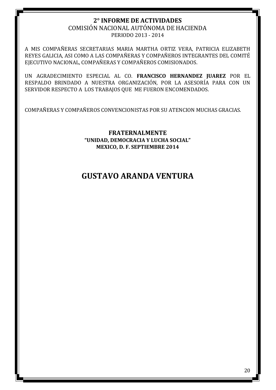#### COMISIÓN NACIONAL AUTÓNOMA DE HACIENDA PERIODO 2013 - 2014

A MIS COMPAÑERAS SECRETARIAS MARIA MARTHA ORTIZ VERA, PATRICIA ELIZABETH REYES GALICIA, ASI COMO A LAS COMPAÑERAS Y COMPAÑEROS INTEGRANTES DEL COMITÉ EJECUTIVO NACIONAL, COMPAÑERAS Y COMPAÑEROS COMISIONADOS.

UN AGRADECIMIENTO ESPECIAL AL CO. **FRANCISCO HERNANDEZ JUAREZ** POR EL RESPALDO BRINDADO A NUESTRA ORGANIZACIÓN, POR LA ASESORÍA PARA CON UN SERVIDOR RESPECTO A LOS TRABAJOS QUE ME FUERON ENCOMENDADOS.

COMPAÑERAS Y COMPAÑEROS CONVENCIONISTAS POR SU ATENCION MUCHAS GRACIAS.

**FRATERNALMENTE "UNIDAD, DEMOCRACIA Y LUCHA SOCIAL" MEXICO, D. F. SEPTIEMBRE 2014**

## **GUSTAVO ARANDA VENTURA**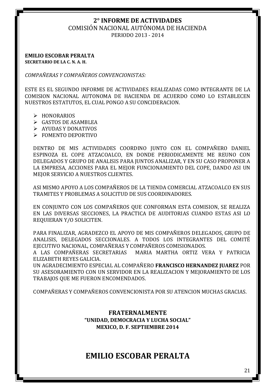COMISIÓN NACIONAL AUTÓNOMA DE HACIENDA

PERIODO 2013 - 2014

**EMILIO ESCOBAR PERALTA SECRETARIO DE LA C. N. A. H.**

*COMPAÑERAS Y COMPAÑEROS CONVENCIONISTAS:*

ESTE ES EL SEGUNDO INFORME DE ACTIVIDADES REALIZADAS COMO INTEGRANTE DE LA COMISION NACIONAL AUTONOMA DE HACIENDA DE ACUERDO COMO LO ESTABLECEN NUESTROS ESTATUTOS, EL CUAL PONGO A SU CONCIDERACION.

- > HONORARIOS
- GASTOS DE ASAMBLEA
- $\triangleright$  AYUDAS Y DONATIVOS
- $\triangleright$  FOMENTO DEPORTIVO

DENTRO DE MIS ACTIVIDADES COORDINO JUNTO CON EL COMPAÑERO DANIEL ESPINOZA EL COPE ATZACOALCO, EN DONDE PERIODICAMENTE ME REUNO CON DELEGADOS Y GRUPO DE ANALISIS PARA JUNTOS ANALIZAR, Y EN SU CASO PROPONER A LA EMPRESA, ACCIONES PARA EL MEJOR FUNCIONAMIENTO DEL COPE, DANDO ASI UN MEJOR SERVICIO A NUESTROS CLIENTES.

ASI MISMO APOYO A LOS COMPAÑEROS DE LA TIENDA COMERCIAL ATZACOALCO EN SUS TRAMITES Y PROBLEMAS A SOLICITUD DE SUS COORDINADORES.

EN CONJUNTO CON LOS COMPAÑEROS QUE CONFORMAN ESTA COMISION, SE REALIZA EN LAS DIVERSAS SECCIONES, LA PRACTICA DE AUDITORIAS CUANDO ESTAS ASI LO REQUIERAN Y/O SOLICITEN.

PARA FINALIZAR, AGRADEZCO EL APOYO DE MIS COMPAÑEROS DELEGADOS, GRUPO DE ANALISIS, DELEGADOS SECCIONALES. A TODOS LOS INTEGRANTES DEL COMITÉ EJECUTIVO NACIONAL, COMPAÑERAS Y COMPAÑEROS COMISIONADOS.

A LAS COMPAÑERAS SECRETARIAS MARIA MARTHA ORTIZ VERA Y PATRICIA ELIZABETH REYES GALICIA.

UN AGRADECIMIENTO ESPECIAL AL COMPAÑERO **FRANCISCO HERNANDEZ JUAREZ** POR SU ASESORAMIENTO CON UN SERVIDOR EN LA REALIZACION Y MEJORAMIENTO DE LOS TRABAJOS QUE ME FUERON ENCOMENDADOS.

COMPAÑERAS Y COMPAÑEROS CONVENCIONISTA POR SU ATENCION MUCHAS GRACIAS.

## **FRATERNALMENTE "UNIDAD, DEMOCRACIA Y LUCHA SOCIAL" MEXICO, D. F. SEPTIEMBRE 2014**

## **EMILIO ESCOBAR PERALTA**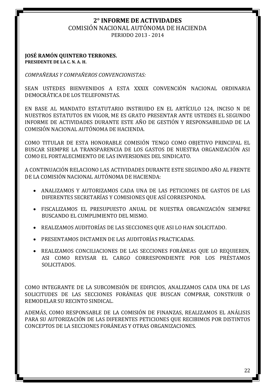COMISIÓN NACIONAL AUTÓNOMA DE HACIENDA

PERIODO 2013 - 2014

#### **JOSÉ RAMÓN QUINTERO TERRONES. PRESIDENTE DE LA C. N. A. H.**

*COMPAÑERAS Y COMPAÑEROS CONVENCIONISTAS:*

SEAN USTEDES BIENVENIDOS A ESTA XXXIX CONVENCIÓN NACIONAL ORDINARIA DEMOCRÁTICA DE LOS TELEFONISTAS.

EN BASE AL MANDATO ESTATUTARIO INSTRUIDO EN EL ARTÍCULO 124, INCISO N DE NUESTROS ESTATUTOS EN VIGOR, ME ES GRATO PRESENTAR ANTE USTEDES EL SEGUNDO INFORME DE ACTIVIDADES DURANTE ESTE AÑO DE GESTIÓN Y RESPONSABILIDAD DE LA COMISIÓN NACIONAL AUTÓNOMA DE HACIENDA.

COMO TITULAR DE ESTA HONORABLE COMISIÓN TENGO COMO OBJETIVO PRINCIPAL EL BUSCAR SIEMPRE LA TRANSPARENCIA DE LOS GASTOS DE NUESTRA ORGANIZACIÓN ASI COMO EL FORTALECIMIENTO DE LAS INVERSIONES DEL SINDICATO.

A CONTINUACIÓN RELACIONO LAS ACTIVIDADES DURANTE ESTE SEGUNDO AÑO AL FRENTE DE LA COMISIÓN NACIONAL AUTÓNOMA DE HACIENDA:

- ANALIZAMOS Y AUTORIZAMOS CADA UNA DE LAS PETICIONES DE GASTOS DE LAS DIFERENTES SECRETARÍAS Y COMISIONES QUE ASÍ CORRESPONDA.
- FISCALIZAMOS EL PRESUPUESTO ANUAL DE NUESTRA ORGANIZACIÓN SIEMPRE BUSCANDO EL CUMPLIMIENTO DEL MISMO.
- REALIZAMOS AUDITORÍAS DE LAS SECCIONES QUE ASI LO HAN SOLICITADO.
- PRESENTAMOS DICTAMEN DE LAS AUDITORÍAS PRACTICADAS.
- REALIZAMOS CONCILIACIONES DE LAS SECCIONES FORÁNEAS QUE LO REQUIEREN, ASI COMO REVISAR EL CARGO CORRESPONDIENTE POR LOS PRÉSTAMOS SOLICITADOS.

COMO INTEGRANTE DE LA SUBCOMISIÓN DE EDIFICIOS, ANALIZAMOS CADA UNA DE LAS SOLICITUDES DE LAS SECCIONES FORÁNEAS QUE BUSCAN COMPRAR, CONSTRUIR O REMODELAR SU RECINTO SINDICAL.

ADEMÁS, COMO RESPONSABLE DE LA COMISIÓN DE FINANZAS, REALIZAMOS EL ANÁLISIS PARA SU AUTORIZACIÓN DE LAS DIFERENTES PETICIONES QUE RECIBIMOS POR DISTINTOS CONCEPTOS DE LA SECCIONES FORÁNEAS Y OTRAS ORGANIZACIONES.